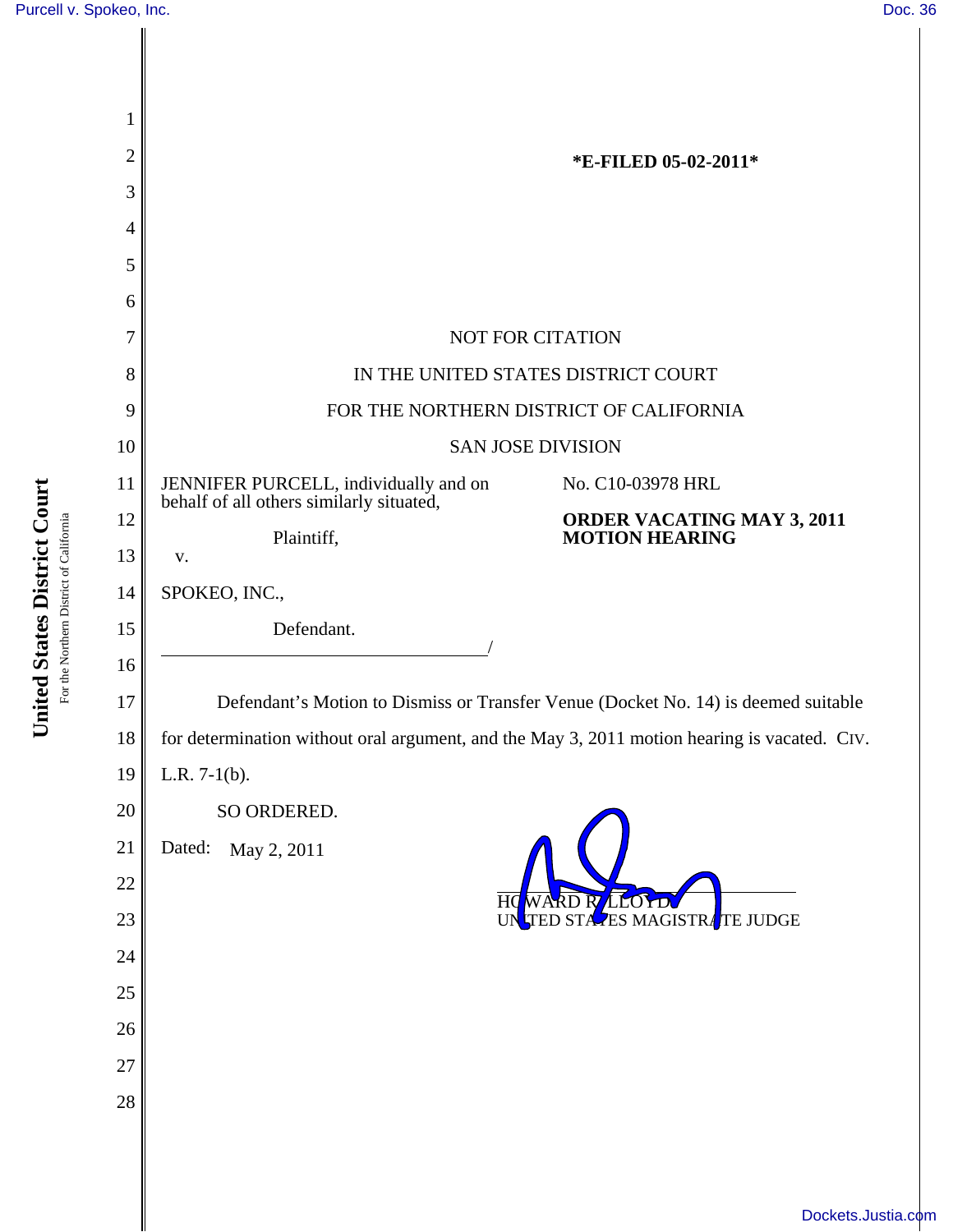I

| 1  |                                                                                              |                                                     |
|----|----------------------------------------------------------------------------------------------|-----------------------------------------------------|
| 2  | *E-FILED 05-02-2011*                                                                         |                                                     |
| 3  |                                                                                              |                                                     |
| 4  |                                                                                              |                                                     |
| 5  |                                                                                              |                                                     |
| 6  |                                                                                              |                                                     |
| 7  | <b>NOT FOR CITATION</b>                                                                      |                                                     |
| 8  | IN THE UNITED STATES DISTRICT COURT                                                          |                                                     |
| 9  | FOR THE NORTHERN DISTRICT OF CALIFORNIA                                                      |                                                     |
| 10 | <b>SAN JOSE DIVISION</b>                                                                     |                                                     |
| 11 | JENNIFER PURCELL, individually and on<br>behalf of all others similarly situated,            | No. C10-03978 HRL                                   |
| 12 | Plaintiff,                                                                                   | ORDER VACATING MAY 3, 2011<br><b>MOTION HEARING</b> |
| 13 | V.                                                                                           |                                                     |
| 14 | SPOKEO, INC.,                                                                                |                                                     |
| 15 | Defendant.                                                                                   |                                                     |
| 16 |                                                                                              |                                                     |
| 17 | Defendant's Motion to Dismiss or Transfer Venue (Docket No. 14) is deemed suitable           |                                                     |
| 18 | for determination without oral argument, and the May 3, 2011 motion hearing is vacated. CIV. |                                                     |
| 19 | L.R. $7-1(b)$ .                                                                              |                                                     |
| 20 | SO ORDERED.                                                                                  |                                                     |
| 21 | Dated:<br>May 2, 2011                                                                        |                                                     |
| 22 | WARD R LLO<br>HQ                                                                             |                                                     |
| 23 |                                                                                              | UN TED STAZES MAGISTRATE JUDGE                      |
| 24 |                                                                                              |                                                     |
| 25 |                                                                                              |                                                     |
| 26 |                                                                                              |                                                     |
| 27 |                                                                                              |                                                     |
| 28 |                                                                                              |                                                     |
|    |                                                                                              |                                                     |
|    |                                                                                              |                                                     |